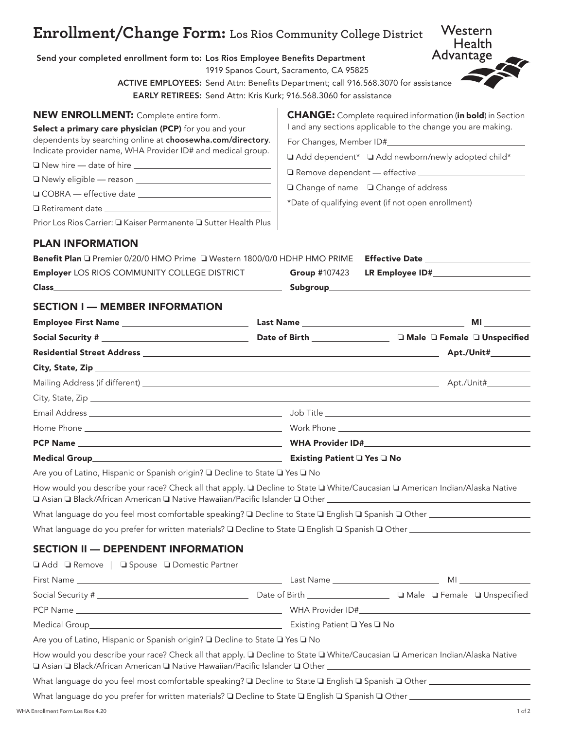## **Enrollment/Change Form: Los Rios Community College District**

Send your completed enrollment form to: Los Rios Employee Benefits Department

1919 Spanos Court, Sacramento, CA 95825

ACTIVE EMPLOYEES: Send Attn: Benefits Department; call 916.568.3070 for assistance

EARLY RETIREES: Send Attn: Kris Kurk; 916.568.3060 for assistance

| <b>NEW ENROLLMENT:</b> Complete entire form.                | <b>CHANGE:</b> Complete required information (in bold) in Section |
|-------------------------------------------------------------|-------------------------------------------------------------------|
| Select a primary care physician (PCP) for you and your      | I and any sections applicable to the change you are making.       |
| dependents by searching online at choosewha.com/directory.  |                                                                   |
| Indicate provider name, WHA Provider ID# and medical group. | □ Add dependent* □ Add newborn/newly adopted child*               |
| New hire - date of hire _____________                       |                                                                   |
| Newly eligible - reason __________                          | $\Box$ Change of name $\Box$ Change of address                    |
| □ COBRA — effective date                                    |                                                                   |
| $\Box$ Retirement date                                      | *Date of qualifying event (if not open enrollment)                |

Prior Los Rios Carrier: □ Kaiser Permanente □ Sutter Health Plus |

## PLAN INFORMATION

| Benefit Plan □ Premier 0/20/0 HMO Prime □ Western 1800/0/0 HDHP HMO PRIME Effective Date __________ |                                                                                                                                                                                                                                    |           |
|-----------------------------------------------------------------------------------------------------|------------------------------------------------------------------------------------------------------------------------------------------------------------------------------------------------------------------------------------|-----------|
| <b>Employer LOS RIOS COMMUNITY COLLEGE DISTRICT</b>                                                 |                                                                                                                                                                                                                                    |           |
|                                                                                                     |                                                                                                                                                                                                                                    |           |
|                                                                                                     |                                                                                                                                                                                                                                    |           |
| <b>SECTION I - MEMBER INFORMATION</b>                                                               |                                                                                                                                                                                                                                    |           |
|                                                                                                     | <b>Last Name</b> and the set of the set of the set of the set of the set of the set of the set of the set of the set of the set of the set of the set of the set of the set of the set of the set of the set of the set of the set | <b>MI</b> |

| Residential Street Address et al. 2003 and 2004 and 2006 and 2007 and 2008 and 2008 and 2008 and 200 | <b>Apt./Unit#__________</b> |
|------------------------------------------------------------------------------------------------------|-----------------------------|
|                                                                                                      |                             |
|                                                                                                      |                             |
|                                                                                                      |                             |
|                                                                                                      |                             |
|                                                                                                      |                             |
|                                                                                                      |                             |
| Existing Patient □ Yes □ No                                                                          |                             |

Are you of Latino, Hispanic or Spanish origin? ❏ Decline to State ❏ Yes ❏ No

How would you describe your race? Check all that apply. □ Decline to State □ White/Caucasian □ American Indian/Alaska Native ❏ Asian ❏ Black/African American ❏ Native Hawaiian/Pacific Islander ❏ Other

What language do you feel most comfortable speaking? ❏ Decline to State ❏ English ❏ Spanish ❏ Other

What language do you prefer for written materials? ❏ Decline to State ❏ English ❏ Spanish ❏ Other

## SECTION II — DEPENDENT INFORMATION

| <b>QAdd Q Remove</b>   Q Spouse Q Domestic Partner                                                                                                                                                                                                       |                                                                                                                                                                                                                               |                                                                                                                                                                                                                                |
|----------------------------------------------------------------------------------------------------------------------------------------------------------------------------------------------------------------------------------------------------------|-------------------------------------------------------------------------------------------------------------------------------------------------------------------------------------------------------------------------------|--------------------------------------------------------------------------------------------------------------------------------------------------------------------------------------------------------------------------------|
|                                                                                                                                                                                                                                                          | Last Name and the contract of the contract of the contract of the contract of the contract of the contract of the contract of the contract of the contract of the contract of the contract of the contract of the contract of | MI and the contract of the contract of the contract of the contract of the contract of the contract of the contract of the contract of the contract of the contract of the contract of the contract of the contract of the con |
|                                                                                                                                                                                                                                                          |                                                                                                                                                                                                                               |                                                                                                                                                                                                                                |
|                                                                                                                                                                                                                                                          |                                                                                                                                                                                                                               |                                                                                                                                                                                                                                |
|                                                                                                                                                                                                                                                          | Existing Patient ■ Yes ■ No                                                                                                                                                                                                   |                                                                                                                                                                                                                                |
| Are you of Latino, Hispanic or Spanish origin? □ Decline to State □ Yes □ No                                                                                                                                                                             |                                                                                                                                                                                                                               |                                                                                                                                                                                                                                |
| How would you describe your race? Check all that apply. La Decline to State La White/Caucasian La American Indian/Alaska Native<br>$\square$ Asian $\square$ Black/African American $\square$ Native Hawaiian/Pacific Islander $\square$ Other $\square$ |                                                                                                                                                                                                                               |                                                                                                                                                                                                                                |

What language do you feel most comfortable speaking? □ Decline to State □ English □ Spanish □ Other \_\_\_\_\_\_\_\_\_\_\_\_\_\_\_\_\_

What language do you prefer for written materials? **□** Decline to State □ English □ Spanish □ Other